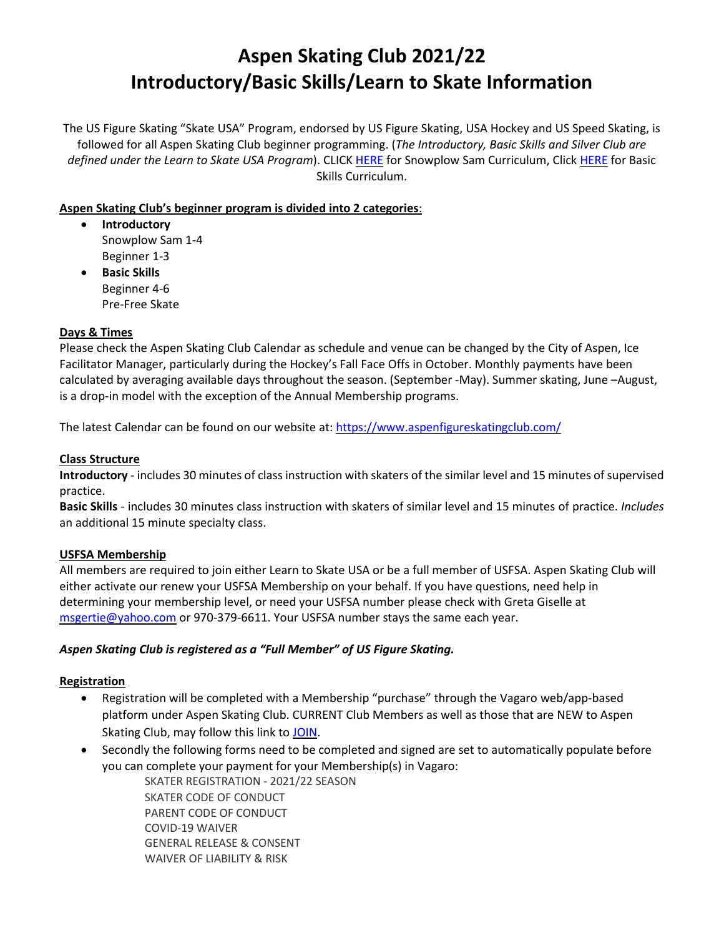# **Aspen Skating Club 2021/22 Introductory/Basic Skills/Learn to Skate Information**

The US Figure Skating "Skate USA" Program, endorsed by US Figure Skating, USA Hockey and US Speed Skating, is followed for all Aspen Skating Club beginner programming. (*The Introductory, Basic Skills and Silver Club are defined under the Learn to Skate USA Program*). CLICK [HERE](https://learntoskateusa.com/media/1095/snowplow-sam-curriculum-chart.pdf) for Snowplow Sam Curriculum, Click [HERE](https://learntoskateusa.com/media/1087/curriculum_basicskills.pdf) for Basic Skills Curriculum.

# **Aspen Skating Club's beginner program is divided into 2 categories**:

- **Introductory**  Snowplow Sam 1-4 Beginner 1-3
- **Basic Skills** Beginner 4-6 Pre-Free Skate

#### **Days & Times**

Please check the Aspen Skating Club Calendar as schedule and venue can be changed by the City of Aspen, Ice Facilitator Manager, particularly during the Hockey's Fall Face Offs in October. Monthly payments have been calculated by averaging available days throughout the season. (September -May). Summer skating, June –August, is a drop-in model with the exception of the Annual Membership programs.

The latest Calendar can be found on our website at: <https://www.aspenfigureskatingclub.com/>

#### **Class Structure**

**Introductory** - includes 30 minutes of class instruction with skaters of the similar level and 15 minutes of supervised practice.

**Basic Skills** - includes 30 minutes class instruction with skaters of similar level and 15 minutes of practice. *Includes* an additional 15 minute specialty class.

#### **USFSA Membership**

All members are required to join either Learn to Skate USA or be a full member of USFSA. Aspen Skating Club will either activate our renew your USFSA Membership on your behalf. If you have questions, need help in determining your membership level, or need your USFSA number please check with Greta Giselle at [msgertie@yahoo.com](mailto:msgertie@yahoo.com) or 970-379-6611. Your USFSA number stays the same each year.

#### *Aspen Skating Club is registered as a "Full Member" of US Figure Skating.*

#### **Registration**

- Registration will be completed with a Membership "purchase" through the Vagaro web/app-based platform under Aspen Skating Club. CURRENT Club Members as well as those that are NEW to Aspen Skating Club, may follow this link t[o JOIN.](https://www.vagaro.com/Users/BusinessWidget.aspx?enc=MMLjhIwJMcwFQhXLL7ifVPtc3/yvqLlXAiUubTKXcGzNJyiAgkPnVNB6W9WJ3hZ9KH5gNk344UxfJ7i7Rob2Zz5eEi2OFFT7w82ovK/540P17DfAPwQ4vufjyXATdFnMEfw4gXEGJlqNYldDnrzepbcHFwvsmjOL6sgw6DkQ2DDbzVgZq6s8tmhQ8yRDTvppkDaEP+2cMLV+ocx9snBtKQskD87T9PGhloIehcwxBSDCB91Iw/recJbjhfdY7RUmt/FKnWIUrR1v1Zg1tIJUbJ6V2eakiSg1o9zgpL/RqpgN3fxI0xm7CS2VO+Tbbg3Y6F+ARj4N3mPj3PWIV/vmWg==)
- Secondly the following forms need to be completed and signed are set to automatically populate before you can complete your payment for your Membership(s) in Vagaro:

SKATER REGISTRATION - 2021/22 SEASON SKATER CODE OF CONDUCT PARENT CODE OF CONDUCT COVID-19 WAIVER GENERAL RELEASE & CONSENT WAIVER OF LIABILITY & RISK